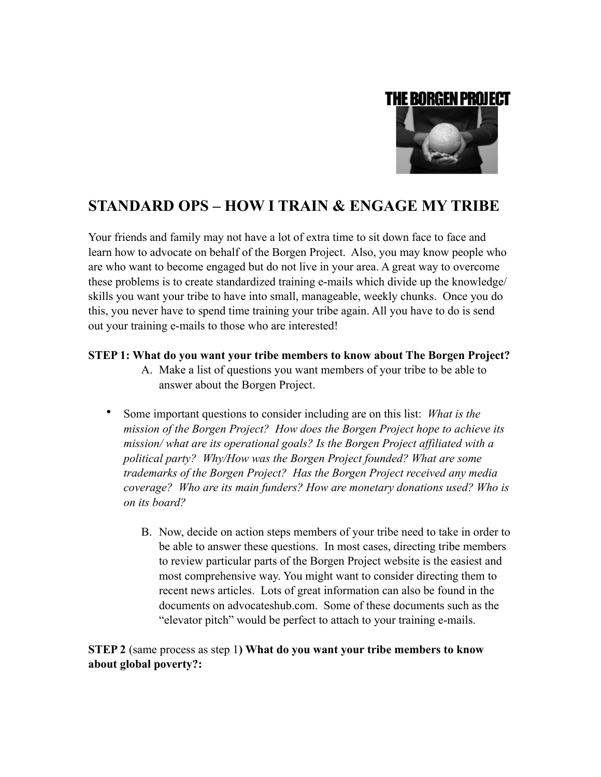

# **STANDARD OPS – HOW I TRAIN & ENGAGE MY TRIBE**

Your friends and family may not have a lot of extra time to sit down face to face and learn how to advocate on behalf of the Borgen Project. Also, you may know people who are who want to become engaged but do not live in your area. A great way to overcome these problems is to create standardized training e-mails which divide up the knowledge/ skills you want your tribe to have into small, manageable, weekly chunks. Once you do this, you never have to spend time training your tribe again. All you have to do is send out your training e-mails to those who are interested!

# **STEP 1: What do you want your tribe members to know about The Borgen Project?**

- A. Make a list of questions you want members of your tribe to be able to answer about the Borgen Project.
- Some important questions to consider including are on this list: *What is the mission of the Borgen Project? How does the Borgen Project hope to achieve its mission/ what are its operational goals? Is the Borgen Project affiliated with a political party? Why/How was the Borgen Project founded? What are some trademarks of the Borgen Project? Has the Borgen Project received any media coverage? Who are its main funders? How are monetary donations used? Who is on its board?* 
	- B. Now, decide on action steps members of your tribe need to take in order to be able to answer these questions. In most cases, directing tribe members to review particular parts of the Borgen Project website is the easiest and most comprehensive way. You might want to consider directing them to recent news articles. Lots of great information can also be found in the documents on advocateshub.com. Some of these documents such as the "elevator pitch" would be perfect to attach to your training e-mails.

# **STEP 2** (same process as step 1**) What do you want your tribe members to know about global poverty?:**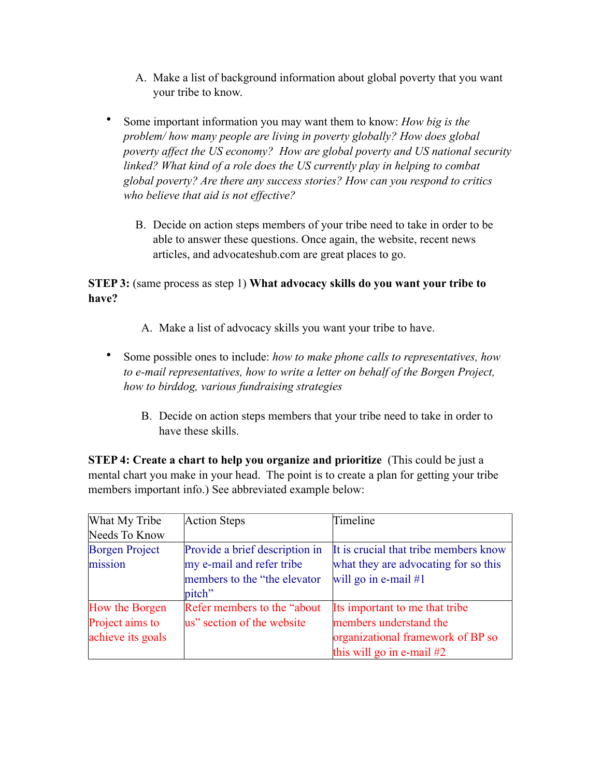- A. Make a list of background information about global poverty that you want your tribe to know.
- Some important information you may want them to know: *How big is the problem/ how many people are living in poverty globally? How does global poverty affect the US economy? How are global poverty and US national security linked? What kind of a role does the US currently play in helping to combat global poverty? Are there any success stories? How can you respond to critics who believe that aid is not effective?*
	- B. Decide on action steps members of your tribe need to take in order to be able to answer these questions. Once again, the website, recent news articles, and advocateshub.com are great places to go.

**STEP 3:** (same process as step 1) **What advocacy skills do you want your tribe to have?**

- A. Make a list of advocacy skills you want your tribe to have.
- Some possible ones to include: *how to make phone calls to representatives, how to e-mail representatives, how to write a letter on behalf of the Borgen Project, how to birddog, various fundraising strategies* 
	- B. Decide on action steps members that your tribe need to take in order to have these skills.

**STEP 4: Create a chart to help you organize and prioritize** (This could be just a mental chart you make in your head. The point is to create a plan for getting your tribe members important info.) See abbreviated example below:

| What My Tribe                                          | <b>Action Steps</b>                                                                                    | Timeline                                                                                                                     |
|--------------------------------------------------------|--------------------------------------------------------------------------------------------------------|------------------------------------------------------------------------------------------------------------------------------|
| Needs To Know                                          |                                                                                                        |                                                                                                                              |
| <b>Borgen Project</b><br>mission                       | Provide a brief description in<br>my e-mail and refer tribe<br>members to the "the elevator"<br>pitch" | It is crucial that tribe members know<br>what they are advocating for so this<br>will go in e-mail $#1$                      |
| How the Borgen<br>Project aims to<br>achieve its goals | Refer members to the "about"<br>us" section of the website                                             | Its important to me that tribe<br>members understand the<br>organizational framework of BP so<br>this will go in e-mail $#2$ |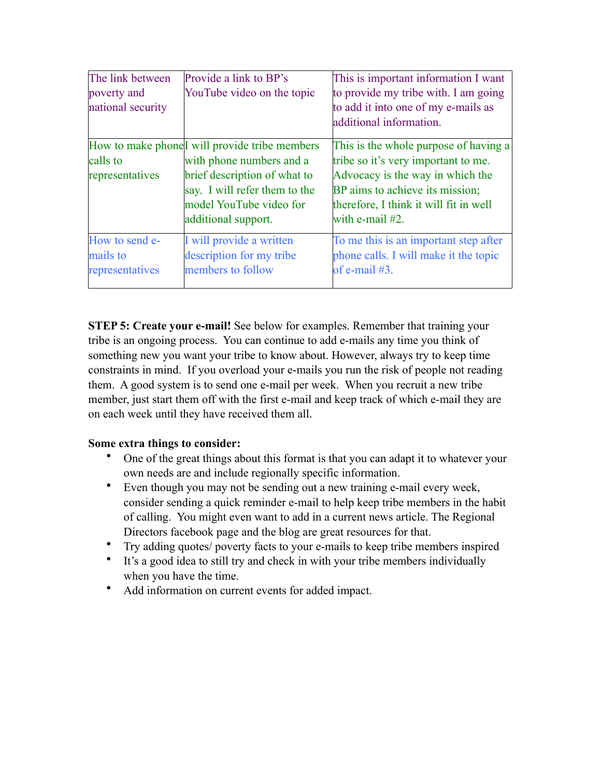| The link between<br>poverty and<br>national security | Provide a link to BP's<br>YouTube video on the topic                                                                                                                                                       | This is important information I want<br>to provide my tribe with. I am going<br>to add it into one of my e-mails as<br>additional information.                                                                      |
|------------------------------------------------------|------------------------------------------------------------------------------------------------------------------------------------------------------------------------------------------------------------|---------------------------------------------------------------------------------------------------------------------------------------------------------------------------------------------------------------------|
| calls to<br>representatives                          | How to make phone <sup>[I will</sup> provide tribe members]<br>with phone numbers and a<br>brief description of what to<br>say. I will refer them to the<br>model YouTube video for<br>additional support. | This is the whole purpose of having a<br>tribe so it's very important to me.<br>Advocacy is the way in which the<br>BP aims to achieve its mission;<br>therefore, I think it will fit in well<br>with e-mail $#2$ . |
| How to send e-<br>mails to<br>representatives        | I will provide a written<br>description for my tribe<br>members to follow                                                                                                                                  | To me this is an important step after<br>phone calls. I will make it the topic<br>of e-mail $#3$ .                                                                                                                  |

**STEP 5: Create your e-mail!** See below for examples. Remember that training your tribe is an ongoing process. You can continue to add e-mails any time you think of something new you want your tribe to know about. However, always try to keep time constraints in mind. If you overload your e-mails you run the risk of people not reading them. A good system is to send one e-mail per week. When you recruit a new tribe member, just start them off with the first e-mail and keep track of which e-mail they are on each week until they have received them all.

# **Some extra things to consider:**

- One of the great things about this format is that you can adapt it to whatever your own needs are and include regionally specific information.
- Even though you may not be sending out a new training e-mail every week, consider sending a quick reminder e-mail to help keep tribe members in the habit of calling. You might even want to add in a current news article. The Regional Directors facebook page and the blog are great resources for that.
- Try adding quotes/ poverty facts to your e-mails to keep tribe members inspired
- It's a good idea to still try and check in with your tribe members individually when you have the time.
- Add information on current events for added impact.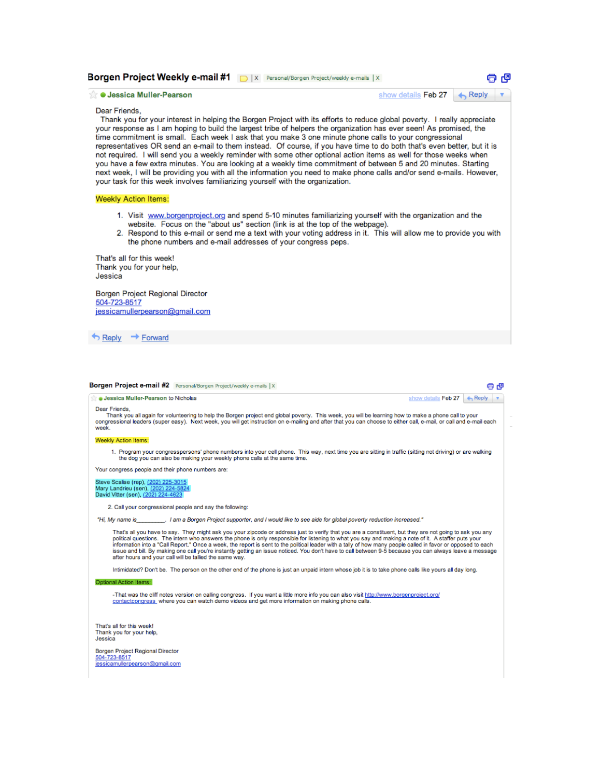# Borgen Project Weekly e-mail #1 | | | x | Personal/Borgen Project/weekly e-mails | X

# **Jessica Muller-Pearson**

### show details Feb 27 A Reply  $\blacktriangledown$

中 (量

# Dear Friends,

Thank you for your interest in helping the Borgen Project with its efforts to reduce global poverty. I really appreciate your response as I am hoping to build the largest tribe of helpers the organization has ever seen! As promised, the time commitment is small. Each week I ask that you make 3 one minute phone calls to your congressional representatives OR send an e-mail to them instead. Of course, if you have time to do both that's even better, but it is not required. I will send you a weekly reminder with some other optional action items as well for those weeks when you have a few extra minutes. You are looking at a weekly time commitment of between 5 and 20 minutes. Starting next week, I will be providing you with all the information you need to make phone calls and/or send e-mails. However, your task for this week involves familiarizing yourself with the organization.

## **Weekly Action Items:**

- 1. Visit www.borgenproject.org and spend 5-10 minutes familiarizing yourself with the organization and the website. Focus on the "about us" section (link is at the top of the webpage).
- 2. Respond to this e-mail or send me a text with your voting address in it. This will allow me to provide you with the phone numbers and e-mail addresses of your congress peps.

That's all for this week! Thank you for your help, Jessica

Borgen Project Regional Director 504-723-8517 jessicamullerpearson@gmail.com

Reply + Forward

| <b>Jessica Muller-Pearson to Nicholas</b>                                                                                                                                                                                                                                                                                                                                                                                                                                                                                                                                                                                                                                                             | show details Feb 27 | $\leftarrow$ Reply |
|-------------------------------------------------------------------------------------------------------------------------------------------------------------------------------------------------------------------------------------------------------------------------------------------------------------------------------------------------------------------------------------------------------------------------------------------------------------------------------------------------------------------------------------------------------------------------------------------------------------------------------------------------------------------------------------------------------|---------------------|--------------------|
| Dear Friends.<br>Thank you all again for volunteering to help the Borgen project end global poverty. This week, you will be learning how to make a phone call to your<br>congressional leaders (super easy). Next week, you will get instruction on e-mailing and after that you can choose to either call, e-mail, or call and e-mail each<br>week.                                                                                                                                                                                                                                                                                                                                                  |                     |                    |
| Weekly Action Items:                                                                                                                                                                                                                                                                                                                                                                                                                                                                                                                                                                                                                                                                                  |                     |                    |
| 1. Program your congresspersons' phone numbers into your cell phone. This way, next time you are sitting in traffic (sitting not driving) or are walking<br>the dog you can also be making your weekly phone calls at the same time.                                                                                                                                                                                                                                                                                                                                                                                                                                                                  |                     |                    |
| Your congress people and their phone numbers are:                                                                                                                                                                                                                                                                                                                                                                                                                                                                                                                                                                                                                                                     |                     |                    |
| Steve Scalise (rep), (202) 225-3015<br>Mary Landrieu (sen), (202) 224-5824<br>David Vitter (sen), (202) 224-4623                                                                                                                                                                                                                                                                                                                                                                                                                                                                                                                                                                                      |                     |                    |
| 2. Call your congressional people and say the following:                                                                                                                                                                                                                                                                                                                                                                                                                                                                                                                                                                                                                                              |                     |                    |
| "Hi, My name is ______________. I am a Borgen Project supporter, and I would like to see aide for global poverty reduction increased."                                                                                                                                                                                                                                                                                                                                                                                                                                                                                                                                                                |                     |                    |
| That's all you have to say. They might ask you your zipcode or address just to verify that you are a constituent, but they are not going to ask you any<br>political questions. The intern who answers the phone is only responsible for listening to what you say and making a note of it. A staffer puts your<br>information into a "Call Report." Once a week, the report is sent to the political leader with a tally of how many people called in favor or opposed to each<br>issue and bill. By making one call you're instantly getting an issue noticed. You don't have to call between 9-5 because you can always leave a message<br>after hours and your call will be tallied the same way. |                     |                    |
| Intimidated? Don't be. The person on the other end of the phone is just an unpaid intern whose job it is to take phone calls like yours all day long.                                                                                                                                                                                                                                                                                                                                                                                                                                                                                                                                                 |                     |                    |
| Optional Action Items:                                                                                                                                                                                                                                                                                                                                                                                                                                                                                                                                                                                                                                                                                |                     |                    |
| -That was the cliff notes version on calling congress. If you want a little more info you can also visit http://www.borgenproject.org/<br>contactcongress where you can watch demo videos and get more information on making phone calls.                                                                                                                                                                                                                                                                                                                                                                                                                                                             |                     |                    |
| That's all for this week!<br>Thank you for your help,<br>Jessica<br>Borgen Project Regional Director                                                                                                                                                                                                                                                                                                                                                                                                                                                                                                                                                                                                  |                     |                    |
| 504-723-8517<br>jessicamullerpearson@gmail.com                                                                                                                                                                                                                                                                                                                                                                                                                                                                                                                                                                                                                                                        |                     |                    |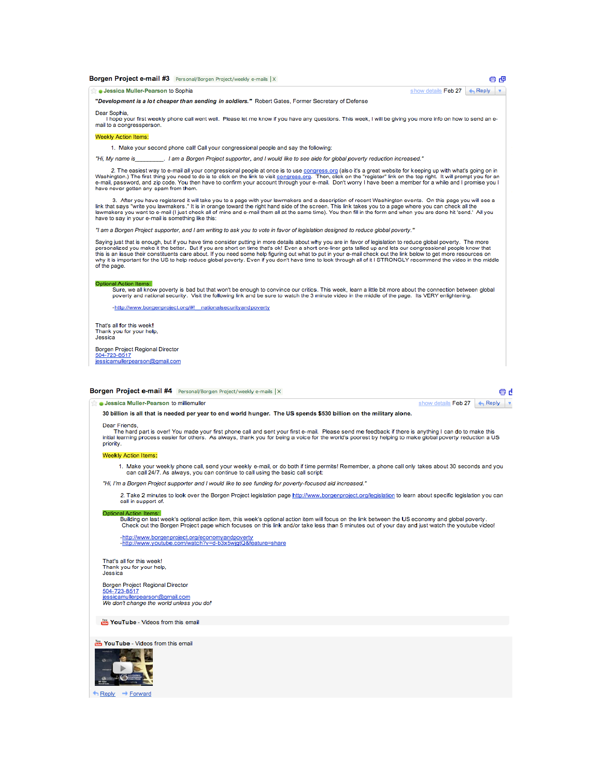| Borgen Project e-mail #3 Personal/Borgen Project/weekly e-mails   X                                                                                                                                                                                                                                                                                                                                                                                                                                                                                                                                                                                                                      |                     | e e                |
|------------------------------------------------------------------------------------------------------------------------------------------------------------------------------------------------------------------------------------------------------------------------------------------------------------------------------------------------------------------------------------------------------------------------------------------------------------------------------------------------------------------------------------------------------------------------------------------------------------------------------------------------------------------------------------------|---------------------|--------------------|
| <b>Jessica Muller-Pearson to Sophia</b>                                                                                                                                                                                                                                                                                                                                                                                                                                                                                                                                                                                                                                                  | show details Feb 27 | $\leftarrow$ Reply |
| "Development is a lot cheaper than sending in soldiers." Robert Gates, Former Secretary of Defense                                                                                                                                                                                                                                                                                                                                                                                                                                                                                                                                                                                       |                     |                    |
| Dear Sophia.<br>I hope your first weekly phone call went well. Please let me know if you have any questions. This week, I will be giving you more info on how to send an e-<br>mail to a congressperson.                                                                                                                                                                                                                                                                                                                                                                                                                                                                                 |                     |                    |
| Weekly Action Items:                                                                                                                                                                                                                                                                                                                                                                                                                                                                                                                                                                                                                                                                     |                     |                    |
| 1. Make your second phone call! Call your congressional people and say the following:                                                                                                                                                                                                                                                                                                                                                                                                                                                                                                                                                                                                    |                     |                    |
| "Hi, My name is The and Borgen Project supporter, and I would like to see aide for global poverty reduction increased."                                                                                                                                                                                                                                                                                                                                                                                                                                                                                                                                                                  |                     |                    |
| 2. The easiest way to e-mail all your congressional people at once is to use congress.org (also it's a great website for keeping up with what's going on in<br>Washington.) The first thing you need to do is to click on the link to visit congress.org. Then, click on the "register" link on the top right. It will prompt you for an<br>e-mail, password, and zip code. You then have to confirm your account through your e-mail. Don't worry I have been a member for a while and I promise you I<br>have never gotten any spam from them.                                                                                                                                         |                     |                    |
| 3. After you have registered it will take you to a page with your lawmakers and a description of recent Washington events. On this page you will see a<br>link that says "write you lawmakers." It is in orange toward the right hand side of the screen. This link takes you to a page where you can check all the<br>lawmakers you want to e-mail (I just check all of mine and e-mail them all at the same time). You then fill in the form and when you are done hit 'send.' All you<br>have to say in your e-mail is something like this:                                                                                                                                           |                     |                    |
| "I am a Borgen Project supporter, and I am writing to ask you to vote in favor of legislation designed to reduce global poverty."                                                                                                                                                                                                                                                                                                                                                                                                                                                                                                                                                        |                     |                    |
| Saying just that is enough, but if you have time consider putting in more details about why you are in favor of legislation to reduce global poverty. The more<br>personalized you make it the better. But if you are short on time that's ok! Even a short one-liner gets tallied up and lets our congressional people know that<br>this is an issue their constituents care about. If you need some help figuring out what to put in your e-mail check out the link below to get more resources on<br>why it is important for the US to help reduce global poverty. Even if you don't have time to look through all of it I STRONGLY recommend the video in the middle<br>of the page. |                     |                    |
| Optional Action Items:<br>Sure, we all know poverty is bad but that won't be enough to convince our critics. This week, learn a little bit more about the connection between global<br>poverty and national security. Visit the following link and be sure to watch the 3 minute video in the middle of the page. Its VERY enlightening.<br>-http://www.borgenproject.org/#! nationalsecurityandpoverty                                                                                                                                                                                                                                                                                  |                     |                    |
| That's all for this week!<br>Thank you for your help.<br>Jessica                                                                                                                                                                                                                                                                                                                                                                                                                                                                                                                                                                                                                         |                     |                    |
| Borgen Project Regional Director<br>504-723-8517<br>jessicamullerpearson@gmail.com                                                                                                                                                                                                                                                                                                                                                                                                                                                                                                                                                                                                       |                     |                    |

|                                               | <b>Borgen Project e-mail #4</b> Personal/Borgen Project/weekly e-mails   X |                             |
|-----------------------------------------------|----------------------------------------------------------------------------|-----------------------------|
| <b>Jessica Muller-Pearson to milliemuller</b> |                                                                            | show details Feb 27 + Reply |

### 30 billion is all that is needed per year to end world hunger. The US spends \$530 billion on the military alone.

Dear Friends,<br>The hard part is over! You made your first phone call and sent your first e-mail. Please send me feedback if there is anything I can do to make this<br>initial learning process easier for others. As always, than

### **Weekly Action Items:**

1. Make your weekly phone call, send your weekly e-mail, or do both if time permits! Remember, a phone call only takes about 30 seconds and you<br>can call 24/7. As always, you can continue to call using the basic call script

"Hi, I'm a Borgen Project supporter and I would like to see funding for poverty-focused aid increased."

2. Take 2 minutes to look over the Borgen Project legislation page http://www.borgenproject.org/legislation to learn about specific legislation you can call in support of.

# Optional Action Items:

hal Action Items.<br>Building on last week's optional action item, this week's optional action item will focus on the link between the US economy and global poverty.<br>Check out the Borgen Project page which focuses on this lin

-http://www.borgenproject.org/economyandpoverty<br>-http://www.youtube.com/watch?v=d-b3x5wjgtQ&feature=share

That's all for this week! Thank you for your help,<br>Jessica

Borgen Project Regional Director<br><u>504-723-8517</u><br>j<u>essicamullerpearson@gmail.com</u><br>We don't change the world unless you do!

YouTube - Videos from this email

YouTube - Videos from this email



← Reply → Forward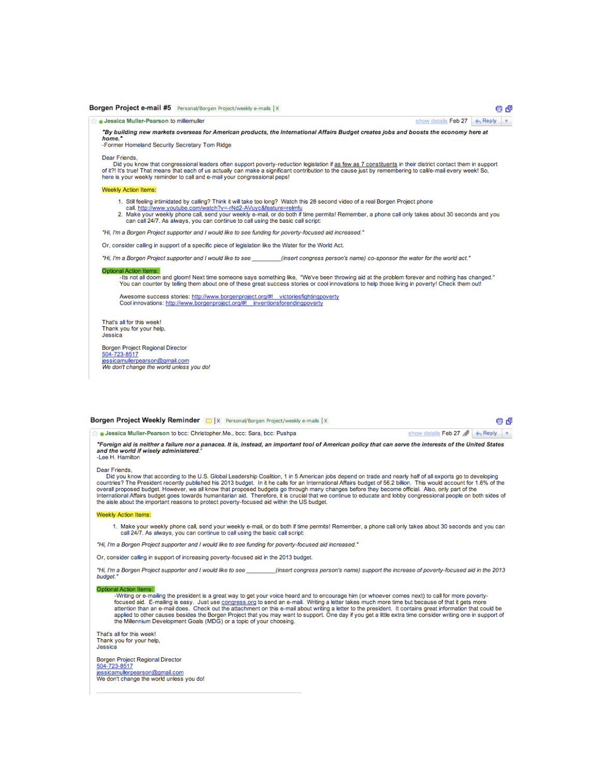## Borgen Project e-mail #5 Personal/Borgen Project/weekly e-mails | X

Jessica Muller-Pearson to milliemuller

"By building new markets overseas for American products, the International Affairs Budget creates jobs and boosts the economy here at home.

g g

show details Feb 27 + Reply

show details Feb 27 8 + Reply

-Former Homeland Security Secretary Tom Ridge

Dear Friends

Did you know that congressional leaders often support poverty-reduction legislation if as few as 7 constituents in their district contact them in support of it?! It's true! That means that each of us actually can make a significant contribution to the cause just by remembering to call/e-mail every week! So,<br>here is your weekly reminder to call and e-mail your congressional

## Weekly Action Items:

- 1. Still feeling intimidated by calling? Think it will take too long? Watch this 28 second video of a real Borgen Project phone
- 1. Suit the transfer of the transfer of the transfer of the second video of a real borget Project phone<br>2. Make your weekly phone call, send your weekly e-mail, or do both if time permits! Remember, a phone call only takes

"Hi, I'm a Borgen Project supporter and I would like to see funding for poverty-focused aid increased."

Or, consider calling in support of a specific piece of legislation like the Water for the World Act.

"Hi, I'm a Borgen Project supporter and I would like to see (insert congress person's name) co-sponsor the water for the world act."

## Optional Action Items:

-Its not all doom and gloom! Next time someone says something like, "We've been throwing aid at the problem forever and nothing has changed." You can counter by telling them about one of these great success stories or cool innovations to help those living in poverty! Check them out!

Awesome success stories: http://www.borgenproject.org/#! victoriesfightingpoverty Cool innovations: http://www.borgenproject.org/#! inventionsforendingpoverty

That's all for this week! Thank you for your help, Jessica

Borgen Project Regional Director 504-723-8517

jessicamullerpearson@gmail.com We don't change the world unless you do!

| Borgen Project Weekly Reminder D  X Personal/Borgen Project/weekly e-mails  X |  | 96 |  |
|-------------------------------------------------------------------------------|--|----|--|
|                                                                               |  |    |  |

Jessica Muller-Pearson to bcc: Christopher.Me., bcc: Sara, bcc: Pushpa

"Foreign aid is neither a failure nor a panacea. It is, instead, an important tool of American policy that can serve the interests of the United States and the world if wisely administered.<br>-Lee H. Hamilton

### Dear Friends

Did you know that according to the U.S. Global Leadership Coalition, 1 in 5 American jobs depend on trade and nearly half of all exports go to developing countries? The President recently published his 2013 budget. In it he calls for an International Affairs budget of 56.2 billion. This would account for 1.6% of the overall proposed budget. However, we all know that propose the aisle about the important reasons to protect poverty-focused aid within the US budget.

### **Weekly Action Items:**

1. Make your weekly phone call, send your weekly e-mail, or do both if time permits! Remember, a phone call only takes about 30 seconds and you can<br>call 24/7. As always, you can continue to call using the basic call script

"Hi. I'm a Borgen Project supporter and I would like to see funding for poverty-focused aid increased."

Or, consider calling in support of increasing poverty-focused aid in the 2013 budget.

"Hi, I'm a Borgen Project supporter and I would like to see (insert congress person's name) support the increase of poverty-focused aid in the 2013 budget."

### Optional Action Items:

-Writing or e-mailing the president is a great way to get your voice heard and to encourage him (or whoever comes next) to call for more poverty-Focused aid. E-mailing is easy. Just use congress org to send an e-mail. Writing a letter takes much more time but because of that it gets more<br>attention than an e-mail does. Check out the attachment on this e-mail about w

That's all for this week! Thank you for your help, Jessica

Borgen Project Regional Director

504-723-8517

jessicamullerpearson@gmail.com<br>We don't change the world unless you do!